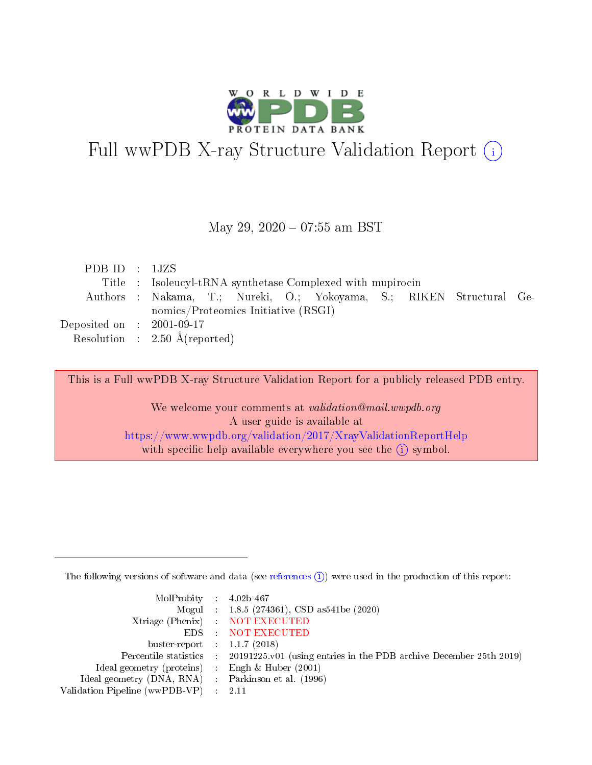

# Full wwPDB X-ray Structure Validation Report (i)

#### May 29, 2020 - 07:55 am BST

| PDBID : 1JZS                        |                                                                     |
|-------------------------------------|---------------------------------------------------------------------|
|                                     | Title : Isoleucyl-tRNA synthetase Complexed with mupirocin          |
|                                     | Authors: Nakama, T.; Nureki, O.; Yokoyama, S.; RIKEN Structural Ge- |
|                                     | nomics/Proteomics Initiative (RSGI)                                 |
| Deposited on $\,$ : 2001-09-17 $\,$ |                                                                     |
|                                     | Resolution : $2.50 \text{ Å}$ (reported)                            |

This is a Full wwPDB X-ray Structure Validation Report for a publicly released PDB entry.

We welcome your comments at validation@mail.wwpdb.org A user guide is available at <https://www.wwpdb.org/validation/2017/XrayValidationReportHelp> with specific help available everywhere you see the  $(i)$  symbol.

The following versions of software and data (see [references](https://www.wwpdb.org/validation/2017/XrayValidationReportHelp#references)  $(i)$ ) were used in the production of this report:

| MolProbity : $4.02b-467$                            |                                                                                            |
|-----------------------------------------------------|--------------------------------------------------------------------------------------------|
|                                                     | Mogul : 1.8.5 (274361), CSD as541be (2020)                                                 |
|                                                     | Xtriage (Phenix) NOT EXECUTED                                                              |
|                                                     | EDS : NOT EXECUTED                                                                         |
| buster-report : $1.1.7(2018)$                       |                                                                                            |
|                                                     | Percentile statistics : 20191225.v01 (using entries in the PDB archive December 25th 2019) |
| Ideal geometry (proteins) : Engh $\&$ Huber (2001)  |                                                                                            |
| Ideal geometry (DNA, RNA) : Parkinson et al. (1996) |                                                                                            |
| Validation Pipeline (wwPDB-VP) :                    | - 2.11                                                                                     |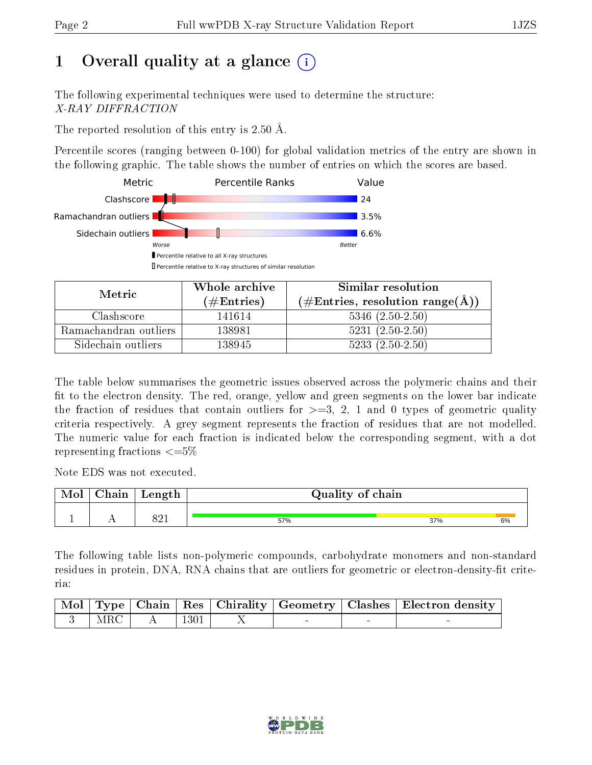# 1 [O](https://www.wwpdb.org/validation/2017/XrayValidationReportHelp#overall_quality)verall quality at a glance  $(i)$

The following experimental techniques were used to determine the structure: X-RAY DIFFRACTION

The reported resolution of this entry is 2.50 Å.

Percentile scores (ranging between 0-100) for global validation metrics of the entry are shown in the following graphic. The table shows the number of entries on which the scores are based.



| Metric                | Whole archive       | Similar resolution                                       |
|-----------------------|---------------------|----------------------------------------------------------|
|                       | (# $\rm{Entries}$ ) | $(\#\text{Entries}, \text{resolution range}(\text{\AA})$ |
| Clashscore            | 141614              | $5346$ $(2.50-2.50)$                                     |
| Ramachandran outliers | 138981              | $5231 (2.50 - 2.50)$                                     |
| Sidechain outliers    | 138945              | $5233(2.50-2.50)$                                        |

The table below summarises the geometric issues observed across the polymeric chains and their fit to the electron density. The red, orange, yellow and green segments on the lower bar indicate the fraction of residues that contain outliers for  $\geq=3$ , 2, 1 and 0 types of geometric quality criteria respectively. A grey segment represents the fraction of residues that are not modelled. The numeric value for each fraction is indicated below the corresponding segment, with a dot representing fractions  $\leq=5\%$ 

Note EDS was not executed.

| Mol | Chain | Length       | Quality of chain |     |    |  |  |  |
|-----|-------|--------------|------------------|-----|----|--|--|--|
|     | . .   | 0.01<br>04 L | 57%              | 37% | 6% |  |  |  |

The following table lists non-polymeric compounds, carbohydrate monomers and non-standard residues in protein, DNA, RNA chains that are outliers for geometric or electron-density-fit criteria:

|     |              |      |  | Mol   Type   Chain   Res   Chirality   Geometry   Clashes   Electron density |
|-----|--------------|------|--|------------------------------------------------------------------------------|
| MRC | $\mathbf{A}$ | 1301 |  |                                                                              |

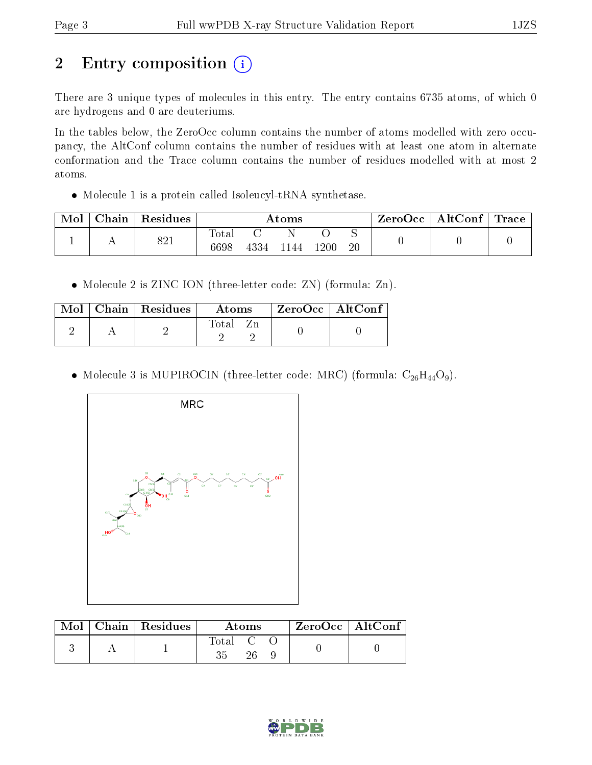# 2 Entry composition (i)

There are 3 unique types of molecules in this entry. The entry contains 6735 atoms, of which 0 are hydrogens and 0 are deuteriums.

In the tables below, the ZeroOcc column contains the number of atoms modelled with zero occupancy, the AltConf column contains the number of residues with at least one atom in alternate conformation and the Trace column contains the number of residues modelled with at most 2 atoms.

• Molecule 1 is a protein called Isoleucyl-tRNA synthetase.

| Mol | Chain | Residues | Atoms         |      |      | ZeroOcc | AltConf $\vert$ | $\text{Trace}$ |  |  |
|-----|-------|----------|---------------|------|------|---------|-----------------|----------------|--|--|
|     |       | 821      | Total<br>6698 | 4334 | 1144 | 1200    | 20              |                |  |  |

• Molecule 2 is ZINC ION (three-letter code: ZN) (formula: Zn).

|  | $\text{Mol}$   Chain   Residues | Atoms    | $\mid$ ZeroOcc $\mid$ AltConf $\mid$ |  |
|--|---------------------------------|----------|--------------------------------------|--|
|  |                                 | Total Zn |                                      |  |

• Molecule 3 is MUPIROCIN (three-letter code: MRC) (formula:  $C_{26}H_{44}O_9$ ).



|  | $\text{Mol}$   Chain   Residues | <b>Atoms</b> |  |  | ZeroOcc   AltConf |
|--|---------------------------------|--------------|--|--|-------------------|
|  |                                 | Total C      |  |  |                   |

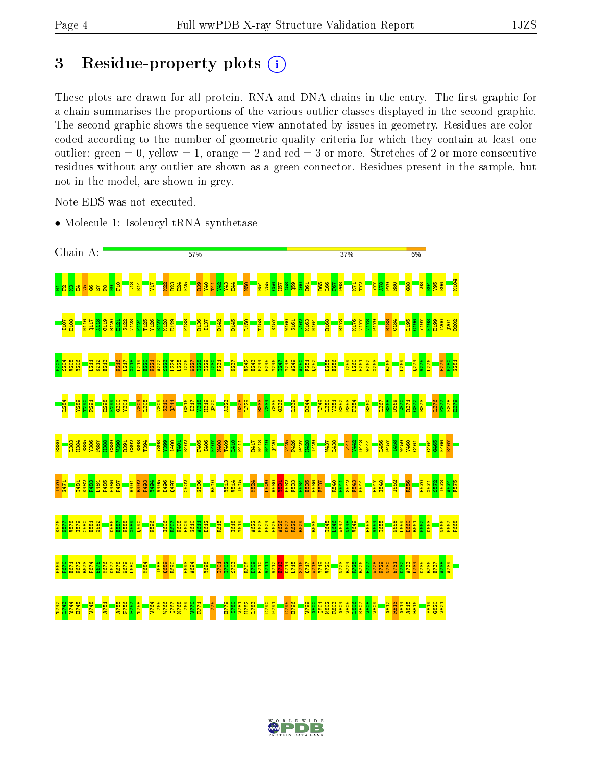# 3 Residue-property plots  $(i)$

These plots are drawn for all protein, RNA and DNA chains in the entry. The first graphic for a chain summarises the proportions of the various outlier classes displayed in the second graphic. The second graphic shows the sequence view annotated by issues in geometry. Residues are colorcoded according to the number of geometric quality criteria for which they contain at least one outlier: green  $= 0$ , yellow  $= 1$ , orange  $= 2$  and red  $= 3$  or more. Stretches of 2 or more consecutive residues without any outlier are shown as a green connector. Residues present in the sample, but not in the model, are shown in grey.

Note EDS was not executed.

• Molecule 1: Isoleucyl-tRNA synthetase



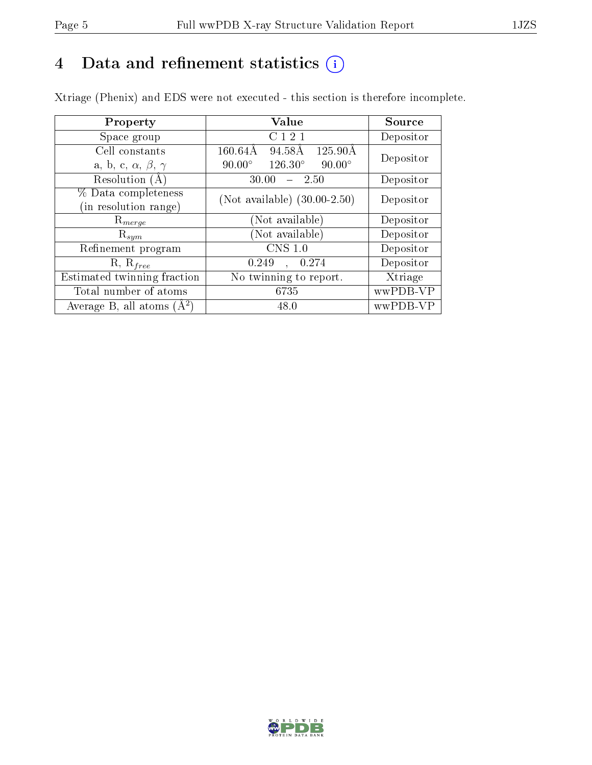# 4 Data and refinement statistics  $(i)$

Xtriage (Phenix) and EDS were not executed - this section is therefore incomplete.

| Property                               | Value                                              | Source    |
|----------------------------------------|----------------------------------------------------|-----------|
| Space group                            | C 1 2 1                                            | Depositor |
| Cell constants                         | 94.58Å<br>$125.90\text{\AA}$<br>$160.64\text{\AA}$ |           |
| a, b, c, $\alpha$ , $\beta$ , $\gamma$ | $126.30^{\circ}$<br>$90.00^\circ$<br>$90.00^\circ$ | Depositor |
| Resolution (A                          | $-2.50$<br>30.00                                   | Depositor |
| % Data completeness                    | (Not available) $(30.00-2.50)$                     | Depositor |
| (in resolution range)                  |                                                    |           |
| $\mathrm{R}_{merge}$                   | (Not available)                                    | Depositor |
| $\mathrm{R}_{sym}$                     | (Not available)                                    | Depositor |
| Refinement program                     | CNS 1.0                                            | Depositor |
| $R, R_{free}$                          | 0.249<br>0.274                                     | Depositor |
| Estimated twinning fraction            | No twinning to report.                             | Xtriage   |
| Total number of atoms                  | 6735                                               | wwPDB-VP  |
| Average B, all atoms $(A^2)$           | 48.0                                               | wwPDB-VP  |

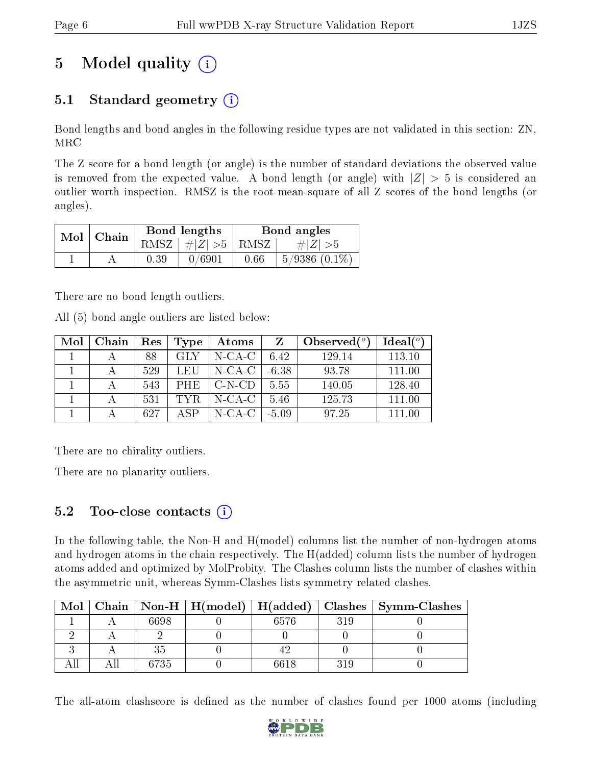# 5 Model quality  $(i)$

# 5.1 Standard geometry  $(i)$

Bond lengths and bond angles in the following residue types are not validated in this section: ZN, MRC

The Z score for a bond length (or angle) is the number of standard deviations the observed value is removed from the expected value. A bond length (or angle) with  $|Z| > 5$  is considered an outlier worth inspection. RMSZ is the root-mean-square of all Z scores of the bond lengths (or angles).

| $Mol$   Chain |      | Bond lengths                 | Bond angles |                    |  |
|---------------|------|------------------------------|-------------|--------------------|--|
|               |      | RMSZ $\mid \#Z \mid >5$ RMSZ |             | # $ Z  > 5$        |  |
|               | 0.39 | 0/6901                       | 0.66        | $5/9386$ $(0.1\%)$ |  |

There are no bond length outliers.

All (5) bond angle outliers are listed below:

| Mol | ⊢Chain | $\operatorname{Res}% \left( \mathcal{N}\right) \equiv\operatorname{Res}(\mathcal{N}_{0})\cap\operatorname{Res}(\mathcal{N}_{0})$ | Type       | Atoms     | Z       | Observed $(^\circ)$ | Ideal $(°)$ |
|-----|--------|----------------------------------------------------------------------------------------------------------------------------------|------------|-----------|---------|---------------------|-------------|
|     |        | 88                                                                                                                               | GLY        | $N-CA-C$  | 6.42    | 129.14              | 113.10      |
|     |        | 529                                                                                                                              | LEU        | $N$ -CA-C | $-6.38$ | 93.78               | 111.00      |
|     |        | 543                                                                                                                              | <b>PHE</b> | $C-N-CD$  | 5.55    | 140.05              | 128.40      |
|     |        | 531                                                                                                                              | TYR.       | $N-CA-C$  | 5.46    | 125.73              | 111.00      |
|     |        | 627                                                                                                                              | A SP       | $N-CA-C$  | $-5.09$ | 97.25               | 111.00      |

There are no chirality outliers.

There are no planarity outliers.

### 5.2 Too-close contacts  $(i)$

In the following table, the Non-H and H(model) columns list the number of non-hydrogen atoms and hydrogen atoms in the chain respectively. The H(added) column lists the number of hydrogen atoms added and optimized by MolProbity. The Clashes column lists the number of clashes within the asymmetric unit, whereas Symm-Clashes lists symmetry related clashes.

| Mol |      |      |     | Chain   Non-H   H(model)   H(added)   Clashes   Symm-Clashes |
|-----|------|------|-----|--------------------------------------------------------------|
|     | 6698 | 6576 | 319 |                                                              |
|     |      |      |     |                                                              |
|     |      |      |     |                                                              |
|     | 6735 | 6618 | 319 |                                                              |

The all-atom clashscore is defined as the number of clashes found per 1000 atoms (including

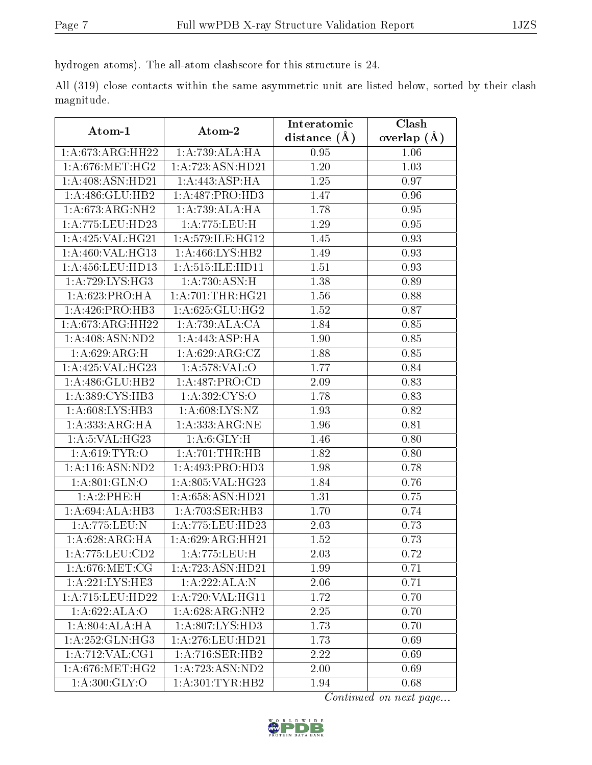hydrogen atoms). The all-atom clashscore for this structure is 24.

All (319) close contacts within the same asymmetric unit are listed below, sorted by their clash magnitude.

| Atom-1               | Atom-2                              | Interatomic      | Clash         |
|----------------------|-------------------------------------|------------------|---------------|
|                      |                                     | distance $(\AA)$ | overlap $(A)$ |
| 1:A:673:ARG:HH22     | 1:A:739:ALA:HA                      | 0.95             | 1.06          |
| 1: A:676:MET:HG2     | 1:A:723:ASN:HD21                    | $1.20\,$         | 1.03          |
| 1: A:408: ASN:HD21   | 1:A:443:ASP:HA                      | 1.25             | 0.97          |
| 1:A:486:GLU:HB2      | 1:A:487:PRO:HD3                     | 1.47             | 0.96          |
| 1:A:673:ARG:NH2      | 1:A:739:ALA:HA                      | 1.78             | 0.95          |
| 1:A:775:LEU:HD23     | 1:A:775:LEU:H                       | 1.29             | 0.95          |
| 1:A:425:VAL:HG21     | 1: A:579: ILE: HG12                 | 1.45             | 0.93          |
| 1:A:460:VAL:HG13     | 1: A:466: LYS: HB2                  | 1.49             | 0.93          |
| 1: A:456: LEU: HD13  | 1: A:515: ILE: HD11                 | 1.51             | 0.93          |
| 1: A:729: LYS: HG3   | 1: A:730:ASN:H                      | 1.38             | 0.89          |
| 1:A:623:PRO:HA       | 1: A:701:THR:HG21                   | 1.56             | 0.88          |
| 1: A:426: PRO:HB3    | 1: A:625: GLU: HG2                  | 1.52             | 0.87          |
| 1:A:673:ARG:HH22     | 1:A:739:ALA:CA                      | 1.84             | 0.85          |
| 1:A:408:ASN:ND2      | 1:A:443:ASP:HA                      | 1.90             | 0.85          |
| 1:A:629:ARG:H        | 1: A:629: ARG: CZ                   | 1.88             | 0.85          |
| 1:A:425:VAL:HG23     | 1: A:578: VAL:O                     | 1.77             | 0.84          |
| 1:A:486:GLU:HB2      | 1:A:487:PRO:CD                      | 2.09             | 0.83          |
| 1:A:389:CYS:HB3      | 1:A:392:CYS:O                       | 1.78             | 0.83          |
| 1:A:608:LYS:HB3      | 1: A:608: LYS: NZ                   | 1.93             | 0.82          |
| 1: A: 333: ARG: HA   | 1: A: 333: ARG: NE                  | 1.96             | 0.81          |
| 1:A:5:VAL:HG23       | 1: A:6: GLY:H                       | 1.46             | 0.80          |
| 1: A:619: TYR:O      | 1:A:701:THR:HB                      | 1.82             | 0.80          |
| 1: A:116: ASN:ND2    | 1:A:493:PRO:HD3                     | 1.98             | 0.78          |
| 1:A:801:GLN:O        | 1:A:805:VAL:HG23                    | 1.84             | 0.76          |
| 1:A:2:PHE:H          | 1:A:658:ASN:HD21                    | 1.31             | 0.75          |
| 1:A:694:ALA:HB3      | 1:A:703:SER:HB3                     | 1.70             | 0.74          |
| 1:A:775:LEU:N        | 1:A:775:LEU:HD23                    | 2.03             | 0.73          |
| 1: A:628: ARG: HA    | 1: A:629: ARG: HH21                 | 1.52             | 0.73          |
| 1:A:775:LEU:CD2      | 1:A:775:LEU:H                       | 2.03             | 0.72          |
| 1: A:676:MET:CG      | 1:A:723:ASN:HD21                    | 1.99             | 0.71          |
| 1: A:221:LYS:HE3     | 1:A:222:ALA:N                       | 2.06             | 0.71          |
| $1: A:715:$ LEU:HD22 | 1: A:720: VAL:HGI1                  | 1.72             | 0.70          |
| 1:A:622:ALA:O        | 1:A:628:ARG:NH2                     | 2.25             | 0.70          |
| 1: A:804: ALA:H A    | $1:A:807:\overline{\text{LYS:HD3}}$ | 1.73             | 0.70          |
| 1:A:252:GLN:HG3      | 1: A:276:LEU:HD21                   | 1.73             | 0.69          |
| 1:A:712:VAL:CG1      | 1: A:716: SER: HB2                  | 2.22             | 0.69          |
| 1: A:676:MET:HG2     | 1:A:723:ASN:ND2                     | 2.00             | 0.69          |
| 1: A:300: GLY:O      | 1: A:301:TYR:HB2                    | 1.94             | 0.68          |

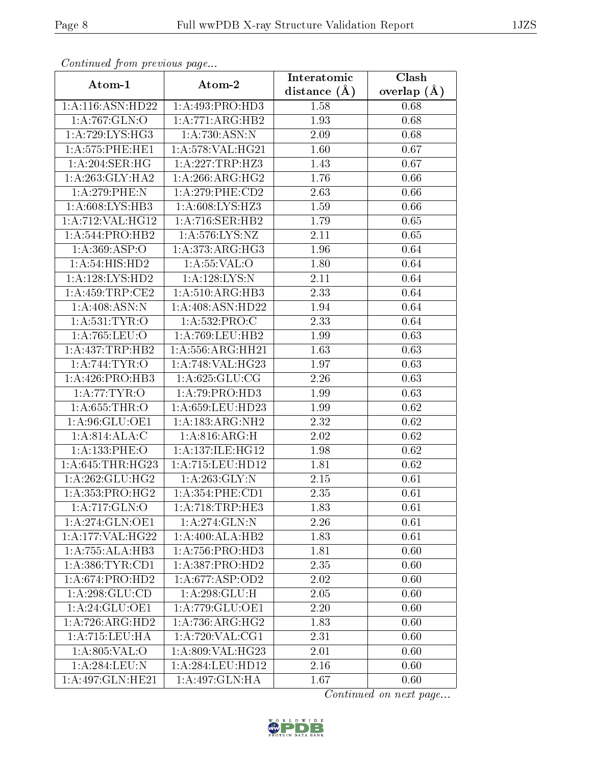| Continuea from previous page |                             | Interatomic       | Clash         |  |
|------------------------------|-----------------------------|-------------------|---------------|--|
| Atom-1                       | Atom-2                      | distance $(\AA)$  | overlap $(A)$ |  |
| 1: A:116: ASN: HD22          | 1:A:493:PRO:HD3             | 1.58              | 0.68          |  |
| 1:A:767:GLN:O                | 1:A:771:ARG:HB2             | 1.93              | 0.68          |  |
| 1: A:729: LYS: HG3           | 1: A:730:ASN:N              | 2.09              | 0.68          |  |
| 1: A:575: PHE:HE1            | 1:A:578:VAL:HG21            | 1.60              | 0.67          |  |
| 1: A:204:SER:HG              | 1:A:227:TRP:HZ3             | 1.43              | 0.67          |  |
| 1: A:263: GLY:HA2            | 1: A:266:ARG:HG2            | 1.76              | 0.66          |  |
| $1: A:279:$ PHE:N            | $1: A:279:$ PHE:CD2         | $\overline{2}.63$ | 0.66          |  |
| 1: A:608: LYS: HB3           | 1:A:608:LYS:HZ3             | 1.59              | 0.66          |  |
| 1: A:712: VAL:HG12           | 1: A:716: SER:HB2           | 1.79              | 0.65          |  |
| 1: A:544: PRO:HB2            | 1: A:576: LYS: NZ           | 2.11              | 0.65          |  |
| 1:A:369:ASP:O                | 1:A:373:ARG:HG3             | 1.96              | 0.64          |  |
| 1: A:54: HIS: HD2            | 1: A:55:VAL:O               | 1.80              | 0.64          |  |
| 1:A:128:LYS:HD2              | 1:A:128:LYS:N               | 2.11              | 0.64          |  |
| 1:A:459:TRP:CE2              | 1:A:510:ARG:HB3             | 2.33              | 0.64          |  |
| 1:A:408:ASN:N                | 1:A:408:ASN:HD22            | 1.94              | 0.64          |  |
| 1: A:531:TYR:O               | 1: A: 532: PRO: C           | 2.33              | 0.64          |  |
| 1:A:765:LEU:O                | 1:A:769:LEU:HB2             | 1.99              | 0.63          |  |
| 1: A: 437: TRP: HB2          | 1:A:556:ARG:HH21            | 1.63              | 0.63          |  |
| 1: A:744:TYR:O               | 1:A:748:VAL:HG23            | $\overline{1.97}$ | 0.63          |  |
| 1: A:426: PRO:HB3            | 1: A:625: GLU:CG            | 2.26              | 0.63          |  |
| 1:A:77:TYR:O                 | 1:A:79:PRO:HD3              | 1.99              | 0.63          |  |
| 1: A:655:THR:O               | 1:A:659:LEU:HD23            | 1.99              | 0.62          |  |
| 1:A:96:GLU:OE1               | 1:A:183:ARG:NH2             | 2.32              | 0.62          |  |
| 1: A:814:ALA:C               | 1: A:816: ARG:H             | 2.02              | 0.62          |  |
| 1:A:133:PHE:O                | 1: A:137: ILE: HG12         | 1.98              | 0.62          |  |
| 1:A:645:THR:HG23             | 1:A:715:LEU:HD12            | 1.81              | 0.62          |  |
| 1: A:262: GLU:HG2            | 1: A:263: GLY:N             | 2.15              | 0.61          |  |
| 1: A: 353: PRO: HG2          | 1: A:354:PHE:CD1            | 2.35              | 0.61          |  |
| 1:A:717:GLN:O                | 1:A:718:TRP:HE3             | 1.83              | 0.61          |  |
| 1:A:274:GLN:OE1              | 1:A:274:GLN:N               | 2.26              | 0.61          |  |
| 1:A:177:VAL:HG22             | 1:A:400:ALA:HB2             | 1.83              | 0.61          |  |
| 1:A:755:ALA:HB3              | 1: A:756: PRO:HD3           | 1.81              | 0.60          |  |
| 1: A: 386: TYR: CD1          | 1:A:387:PRO:H <sub>D2</sub> | 2.35              | 0.60          |  |
| 1:A:674:PRO:HD2              | 1: A:677:ASP:OD2            | 2.02              | 0.60          |  |
| 1:A:298:GLU:CD               | 1:A:298:GLU:H               | 2.05              | 0.60          |  |
| 1: A:24: GLU:OE1             | 1: A:779: GLU:OE1           | 2.20              | 0.60          |  |
| 1:A:726:ARG:HD2              | 1: A:736:ARG:HG2            | 1.83              | 0.60          |  |
| 1: A:715:LEU:HA              | 1:A:720:VAL:CG1             | 2.31              | 0.60          |  |
| 1:A:805:VAL:O                | 1:A:809:VAL:HG23            | 2.01              | 0.60          |  |
| 1:A:284:LEU:N                | 1:A:284:LEU:HD12            | 2.16              | 0.60          |  |
| 1:A:497:GLN:HE21             | $1:A:497:\overline{GLN:HA}$ | 1.67              | 0.60          |  |

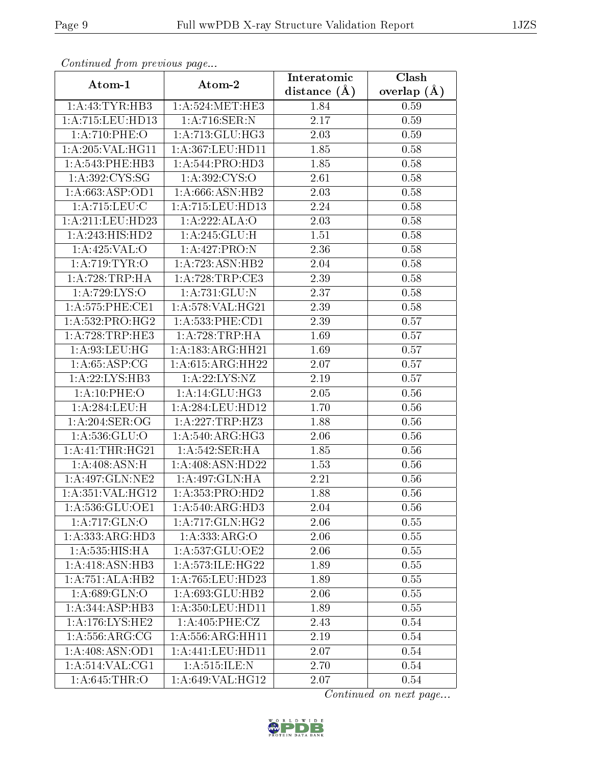| Commaca from previous page<br>Interatomic<br>Clash |                      |                   |               |  |
|----------------------------------------------------|----------------------|-------------------|---------------|--|
| Atom-2<br>Atom-1                                   |                      | distance $(\AA)$  | overlap $(A)$ |  |
| 1:A:43:TYR:HB3                                     | 1: A:524: MET:HE3    | 1.84              | 0.59          |  |
| 1:A:715:LEU:HD13                                   | 1:A:716:SER:N        | $\overline{2.17}$ | 0.59          |  |
| 1:A:710:PHE:O                                      | 1:A:713:GLU:HG3      | 2.03              | 0.59          |  |
| $1:$ A:205:VAL:HG11                                | 1:A:367:LEU:HD11     | 1.85              | 0.58          |  |
| 1: A:543:PHE:HB3                                   | 1:A:544:PRO:HD3      | 1.85              | 0.58          |  |
| $1: A:392: \overline{\text{CYS:SG}}$               | 1: A:392: CYS:O      | 2.61              | 0.58          |  |
| 1:A:663:ASP:OD1                                    | 1:A:666:ASN:HB2      | 2.03              | 0.58          |  |
| 1: A:715: LEU: C                                   | 1:A:715:LEU:HD13     | 2.24              | 0.58          |  |
| 1:A:211:LEU:HD23                                   | 1:A:222:ALA:O        | 2.03              | 0.58          |  |
| 1: A:243: HIS: HD2                                 | 1:A:245:GLU:H        | 1.51              | 0.58          |  |
| 1: A:425:VAL:O                                     | 1:A:427:PRO:N        | 2.36              | 0.58          |  |
| 1:A:719:TYR:O                                      | 1:A:723:ASN:HB2      | 2.04              | 0.58          |  |
| 1:A:728:TRP:HA                                     | 1: A:728:TRP:CE3     | 2.39              | 0.58          |  |
| 1:A:729:LYS:O                                      | 1:A:731:GLU:N        | 2.37              | 0.58          |  |
| 1: A:575: PHE:CE1                                  | 1:A:578:VAL:HG21     | 2.39              | 0.58          |  |
| 1: A: 532: PRO: HG2                                | 1: A: 533:PHE: CD1   | 2.39              | 0.57          |  |
| 1: A:728:TRP:HE3                                   | 1: A:728:TRP:HA      | 1.69              | 0.57          |  |
| 1: A:93:LEU:HG                                     | 1: A: 183:ARG:HH21   | 1.69              | 0.57          |  |
| 1: A:65:ASP:CG                                     | 1: A:615: ARG: HH22  | 2.07              | 0.57          |  |
| 1:A:22:LYS:HB3                                     | 1:A:22:LYS:NZ        | 2.19              | 0.57          |  |
| 1:A:10:PHE:O                                       | 1: A:14: GLU:HG3     | 2.05              | 0.56          |  |
| 1:A:284:LEU:H                                      | 1:A:284:LEU:HD12     | 1.70              | 0.56          |  |
| 1: A:204:SER:OG                                    | 1:A:227:TRP:HZ3      | 1.88              | 0.56          |  |
| 1: A:536: GLU:O                                    | 1: A:540:ARG:HG3     | 2.06              | 0.56          |  |
| 1:A:41:THR:HG21                                    | 1: A:542: SER: HA    | 1.85              | 0.56          |  |
| 1:A:408:ASN:H                                      | 1:A:408:ASN:HD22     | 1.53              | 0.56          |  |
| 1:A:497:GLN:NE2                                    | 1: A:497: GLN: HA    | 2.21              | 0.56          |  |
| 1: A:351: VAL:HG12                                 | 1: A: 353: PRO: HD2  | 1.88              | 0.56          |  |
| 1:A:536:GLU:OE1                                    | 1:A:540:ARG:HD3      | 2.04              | 0.56          |  |
| 1:A:717:GLN:O                                      | 1:A:717:GLN:HG2      | 2.06              | 0.55          |  |
| 1:A:333:ARG:HD3                                    | 1:A:333:ARG:O        | 2.06              | 0.55          |  |
| 1: A: 535: HIS: HA                                 | 1:A:537:GLU:OE2      | 2.06              | 0.55          |  |
| 1: A:418: ASN:HB3                                  | 1: A:573: ILE: HG22  | 1.89              | 0.55          |  |
| 1:A:751:ALA:HB2                                    | 1:A:765:LEU:HD23     | 1.89              | 0.55          |  |
| 1: A:689: GLN:O                                    | 1: A:693: GLU:HB2    | 2.06              | 0.55          |  |
| 1:A:344:ASP:HB3                                    | 1:A:350:LEU:HD11     | 1.89              | 0.55          |  |
| 1: A:176: LYS: HE2                                 | 1: A:405: PHE: CZ    | 2.43              | 0.54          |  |
| 1: A: 556: ARG: CG                                 | 1: A: 556: ARG: HH11 | 2.19              | 0.54          |  |
| 1: A:408: ASN:OD1                                  | 1:A:441:LEU:HD11     | 2.07              | 0.54          |  |
| 1: A: 514: VAL: CG1                                | 1:A:515:ILE:N        | 2.70              | 0.54          |  |
| 1:A:645:THR:O                                      | 1:A:649:VAL:HG12     | 2.07              | $0.54\,$      |  |

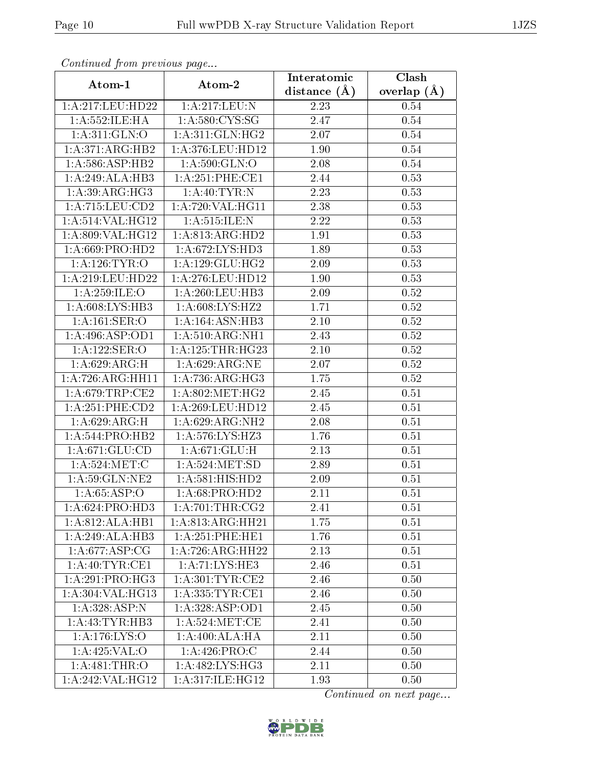| Continuea from previous page<br>Clash<br>Interatomic |                      |                |                 |  |
|------------------------------------------------------|----------------------|----------------|-----------------|--|
| Atom-1                                               | Atom-2               | distance $(A)$ | overlap $(\AA)$ |  |
| 1:A:217:LEU:HD22                                     | 1:A:217:LEU:N        | 2.23           | 0.54            |  |
| 1: A: 552: ILE: HA                                   | 1: A:580:CYS:SG      | 2.47           | 0.54            |  |
| 1: A:311: GLN:O                                      | 1: A:311: GLN: HG2   | 2.07           | 0.54            |  |
| 1:A:371:ARG:HB2                                      | 1:A:376:LEU:HD12     | 1.90           | $0.54\,$        |  |
| 1: A:586: ASP:HB2                                    | 1: A:590: GLN:O      | 2.08           | 0.54            |  |
| 1:A:249:ALA:HB3                                      | 1:A:251:PHE:CE1      | 2.44           | 0.53            |  |
| 1:A:39:ARG:HG3                                       | 1:A:40:TYR:N         | 2.23           | 0.53            |  |
| 1: A: 715: LEU: CD2                                  | 1:A:720:VAL:HG11     | 2.38           | 0.53            |  |
| 1:A:514:VAL:HG12                                     | 1: A:515: ILE:N      | 2.22           | 0.53            |  |
| 1:A:809:VAL:HG12                                     | 1:A:813:ARG:HD2      | 1.91           | 0.53            |  |
| 1:A:669:PRO:HD2                                      | 1:A:672:LYS:HD3      | 1.89           | 0.53            |  |
| 1:A:126:TYR:O                                        | 1:A:129:GLU:HG2      | 2.09           | 0.53            |  |
| 1: A:219:LEU:HD22                                    | 1: A:276:LEU:HD12    | 1.90           | 0.53            |  |
| 1: A:259: ILE: O                                     | 1: A:260:LEU:HB3     | 2.09           | 0.52            |  |
| 1: A:608: LYS: HB3                                   | 1: A:608: LYS: HZ2   | 1.71           | 0.52            |  |
| $1:A:161:\overline{\text{SER}:O}$                    | 1:A:164:ASN:HB3      | 2.10           | 0.52            |  |
| 1:A:496:ASP:OD1                                      | 1:A:510:ARG:NH1      | 2.43           | 0.52            |  |
| 1:A:122:SER:O                                        | 1: A: 125: THR: HG23 | 2.10           | 0.52            |  |
| 1:A:629:ARG:H                                        | 1:A:629:ARG:NE       | 2.07           | $0.52\,$        |  |
| 1:A:726:ARG:HH11                                     | 1: A:736:ARG:HG3     | 1.75           | 0.52            |  |
| 1: A:679:TRP:CE2                                     | 1: A:802:MET:HG2     | 2.45           | 0.51            |  |
| 1:A:251:PHE:CD2                                      | 1:A:269:LEU:HD12     | 2.45           | $0.51\,$        |  |
| 1:A:629:ARG:H                                        | 1: A:629: ARG: NH2   | 2.08           | 0.51            |  |
| 1: A:544: PRO:HB2                                    | 1:A:576:LYS:HZ3      | 1.76           | 0.51            |  |
| 1: A:671: GLU:CD                                     | 1: A:671: GLU: H     | 2.13           | 0.51            |  |
| 1: A:524:MET:C                                       | 1: A:524: MET:SD     | 2.89           | 0.51            |  |
| 1:A:59:GLN:NE2                                       | 1:A:581:HIS:HD2      | 2.09           | 0.51            |  |
| 1: A:65:ASP:O                                        | 1:A:68:PRO:HD2       | 2.11           | 0.51            |  |
| 1:A:624:PRO:HD3                                      | 1: A:701:THR:CG2     | 2.41           | 0.51            |  |
| 1:A:812:ALA:HB1                                      | 1: A:813:ARG:HH21    | 1.75           | 0.51            |  |
| 1:A:249:ALA:HB3                                      | 1: A:251:PHE:HE1     | 1.76           | 0.51            |  |
| 1:A:677:ASP:CG                                       | 1:A:726:ARG:HH22     | 2.13           | 0.51            |  |
| 1: A:40: TYR: CE1                                    | 1:A:71:LYS:HE3       | 2.46           | 0.51            |  |
| 1:A:291:PRO:HG3                                      | 1: A:301:TYR:CE2     | 2.46           | 0.50            |  |
| 1: A:304: VAL:HG13                                   | 1: A: 335: TYR: CE1  | 2.46           | 0.50            |  |
| 1:A:328:ASP:N                                        | 1: A:328: ASP:OD1    | 2.45           | 0.50            |  |
| 1:A:43:TYR:HB3                                       | 1: A:524: MET:CE     | 2.41           | 0.50            |  |
| 1:A:176:LYS:O                                        | 1:A:400:ALA:HA       | 2.11           | 0.50            |  |
| 1: A:425: VAL:O                                      | 1: A:426: PRO:C      | 2.44           | 0.50            |  |
| 1: A: 481: THR:O                                     | 1:A:482:LYS:HG3      | 2.11           | 0.50            |  |
| 1:A:242:VAL:HG12                                     | 1:A:317:ILE:HG12     | 1.93           | 0.50            |  |

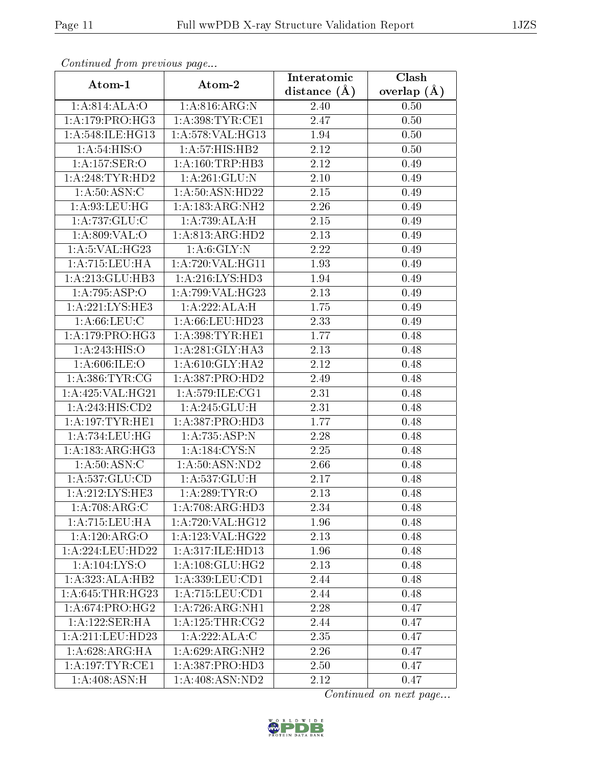| Continuea jioin pievivus page<br>Clash<br>Interatomic |                               |                   |               |  |
|-------------------------------------------------------|-------------------------------|-------------------|---------------|--|
| Atom-1                                                | Atom-2                        | distance $(A)$    | overlap $(A)$ |  |
| 1:A:814:ALA:O                                         | 1: A:816:ARG:N                | 2.40              | 0.50          |  |
| 1: A:179:PRO:HG3                                      | 1: A:398:TYR:CE1              | 2.47              | 0.50          |  |
| 1: A:548: ILE: HG13                                   | 1:A:578:VAL:HG13              | 1.94              | 0.50          |  |
| 1: A:54: HIS:O                                        | 1:A:57:HIS:HB2                | 2.12              | 0.50          |  |
| 1: A: 157: SER: O                                     | 1: A: 160: TRP: HB3           | 2.12              | 0.49          |  |
| 1: A:248:TYR:HD2                                      | 1:A:261:GLU:N                 | 2.10              | 0.49          |  |
| 1: A:50: ASN: C                                       | 1:A:50:ASN:HD22               | $\overline{2}.15$ | 0.49          |  |
| 1: A:93:LEU:HG                                        | 1:A:183:ARG:NH2               | 2.26              | 0.49          |  |
| 1:A:737:GLU:C                                         | 1:A:739:ALA:H                 | 2.15              | 0.49          |  |
| 1: A:809:VAL:O                                        | 1:A:813:ARG:HD2               | 2.13              | 0.49          |  |
| 1: A: 5: VAL: HG23                                    | 1: A:6: GLY:N                 | 2.22              | 0.49          |  |
| 1: A: 715: LEU: HA                                    | 1: A:720: VAL:HG11            | 1.93              | 0.49          |  |
| 1:A:213:GLU:HB3                                       | 1: A:216:LYS:HD3              | 1.94              | 0.49          |  |
| 1:A:795:ASP:O                                         | 1:A:799:VAL:HG23              | 2.13              | 0.49          |  |
| 1:A:221:LYS:HE3                                       | 1:A:222:ALA:H                 | 1.75              | 0.49          |  |
| 1: A:66:LEU:C                                         | 1: A:66:LEU:HD23              | 2.33              | 0.49          |  |
| 1:A:179:PRO:HG3                                       | 1: A:398: TYR: HE1            | 1.77              | 0.48          |  |
| 1: A:243: HIS:O                                       | 1:A:281:GLY:HA3               | 2.13              | 0.48          |  |
| 1: A:606: ILE:O                                       | 1: A:610: GLY:HA2             | 2.12              | 0.48          |  |
| 1: A: 386: TYR: CG                                    | 1:A:387:PRO:H <sub>D2</sub>   | 2.49              | 0.48          |  |
| 1:A:425:VAL:HG21                                      | 1:A:579:ILE:CG1               | 2.31              | 0.48          |  |
| 1:A:243:HIS:CD2                                       | $1:A:245:\overline{GLU:H}$    | 2.31              | 0.48          |  |
| 1: A: 197: TYR: HE1                                   | 1:A:387:PRO:HD3               | 1.77              | 0.48          |  |
| 1: A: 734: LEU: HG                                    | 1:A:735:ASP:N                 | 2.28              | 0.48          |  |
| 1: A: 183: ARG: HG3                                   | 1:A:184:CYS:N                 | 2.25              | 0.48          |  |
| 1: A:50: ASN:C                                        | 1:A:50:ASN:ND2                | 2.66              | 0.48          |  |
| 1:A:537:GLU:CD                                        | 1:A:537:GLU:H                 | 2.17              | 0.48          |  |
| 1:A:212:LYS:HE3                                       | 1: A:289:TYR:O                | 2.13              | 0.48          |  |
| $1:A:708.\overline{\text{ARG:C}}$                     | 1:A:708:ARG:HD3               | 2.34              | 0.48          |  |
| 1: A:715:LEU:H A                                      | 1: A:720: VAL:HG12            | 1.96              | 0.48          |  |
| 1:A:120:ARG:O                                         | 1: A: 123: VAL: HG22          | 2.13              | 0.48          |  |
| 1: A:224:LEU:HD22                                     | 1:A:317:ILE:HD13              | 1.96              | 0.48          |  |
| 1: A: 104: LYS: O                                     | 1: A: 108: GLU: HG2           | 2.13              | 0.48          |  |
| 1:A:323:ALA:HB2                                       | 1:A:339:LEU:CD1               | 2.44              | 0.48          |  |
| 1: A:645:THR:HG23                                     | 1:A:715:LEU:CD1               | 2.44              | 0.48          |  |
| 1:A:674:PRO:HG2                                       | 1:A:726:ARG:NH1               | 2.28              | 0.47          |  |
| 1:A:122:SER:HA                                        | 1: A:125:THR:CG2              | 2.44              | 0.47          |  |
| 1:A:211:LEU:HD23                                      | 1:A:222:ALA:C                 | 2.35              | 0.47          |  |
| 1: A:628:ARG:HA                                       | 1: A:629: ARG: NH2            | 2.26              | 0.47          |  |
| 1:A:197:TYR:CE1                                       | 1: A: 387: PRO: HD3           | 2.50              | 0.47          |  |
| 1:A:408:ASN:H                                         | $1:A:408: \overline{ASN:ND2}$ | 2.12              | 0.47          |  |

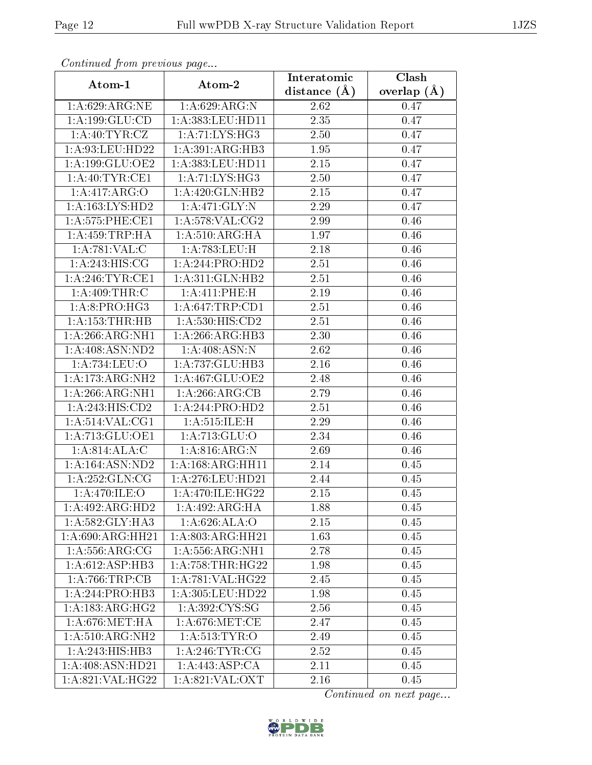| Continuea from previous page<br>Clash<br>Interatomic |                      |                  |               |  |  |
|------------------------------------------------------|----------------------|------------------|---------------|--|--|
| Atom-1                                               | Atom-2               | distance $(\AA)$ | overlap $(A)$ |  |  |
| 1: A:629:ARG:NE                                      | 1:A:629:ARG:N        | 2.62             | 0.47          |  |  |
| 1:A:199:GLU:CD                                       | 1: A: 383: LEU: HD11 | 2.35             | 0.47          |  |  |
| 1: A: 40: TYR: CZ                                    | 1: A:71: LYS:HG3     | 2.50             | 0.47          |  |  |
| 1:A:93:LEU:HD22                                      | 1:A:391:ARG:HB3      | 1.95             | 0.47          |  |  |
| 1:A:199:GLU:OE2                                      | 1:A:383:LEU:HD11     | 2.15             | 0.47          |  |  |
| 1: A:40: TYR: CE1                                    | 1: A:71: LYS:HG3     | 2.50             | 0.47          |  |  |
| 1:A:417:ARG:O                                        | 1:A:420:GLN:HB2      | 2.15             | 0.47          |  |  |
| 1: A: 163: LYS: HD2                                  | 1:A:471:GLY:N        | 2.29             | 0.47          |  |  |
| 1: A: 575: PHE: CE1                                  | 1: A:578: VAL: CG2   | 2.99             | 0.46          |  |  |
| 1: A: 459: TRP: HA                                   | 1: A:510: ARG:HA     | 1.97             | 0.46          |  |  |
| 1:A:781:VAL:CC                                       | 1: A:783:LEU:H       | 2.18             | 0.46          |  |  |
| 1: A:243: HIS: CG                                    | 1:A:244:PRO:HD2      | 2.51             | 0.46          |  |  |
| 1:A:246:TYR:CE1                                      | 1: A:311: GLN: HB2   | 2.51             | 0.46          |  |  |
| 1:A:409:THR:C                                        | 1:A:411:PHE:H        | 2.19             | 0.46          |  |  |
| 1:A:8:PRO:HG3                                        | 1:A:647:TRP:CD1      | 2.51             | 0.46          |  |  |
| $1:A:153$ : THR: HB                                  | 1: A: 530: HIS: CD2  | 2.51             | 0.46          |  |  |
| 1:A:266:ARG:NH1                                      | 1:A:266:ARG:HB3      | 2.30             | 0.46          |  |  |
| 1: A:408: ASN:ND2                                    | 1: A:408: ASN: N     | 2.62             | 0.46          |  |  |
| 1:A:734:LEU:O                                        | 1:A:737:GLU:HB3      | 2.16             | 0.46          |  |  |
| 1:A:173:ARG:NH2                                      | 1:A:467:GLU:OE2      | 2.48             | 0.46          |  |  |
| 1:A:266:ARG:NH1                                      | 1:A:266:ARG:CB       | 2.79             | 0.46          |  |  |
| 1:A:243:HIS:CD2                                      | 1:A:244:PRO:HD2      | 2.51             | 0.46          |  |  |
| 1: A:514: VAL: CG1                                   | 1: A:515: ILE:H      | 2.29             | 0.46          |  |  |
| 1:A:713:GLU:OE1                                      | 1:A:713:GLU:O        | 2.34             | 0.46          |  |  |
| 1: A:814: ALA: C                                     | 1:A:816:ARG:N        | 2.69             | 0.46          |  |  |
| 1: A: 164: ASN: ND2                                  | 1:A:168:ARG:HH11     | 2.14             | 0.45          |  |  |
| 1:A:252:GLN:CG                                       | 1:A:276:LEU:HD21     | 2.44             | 0.45          |  |  |
| 1:A:470:ILE:O                                        | 1:A:470:ILE:HG22     | 2.15             | 0.45          |  |  |
| 1:A:492:ARG:HD2                                      | 1:A:492:ARG:HA       | 1.88             | 0.45          |  |  |
| 1: A:582: GLY:HA3                                    | 1:A:626:ALA:O        | 2.15             | 0.45          |  |  |
| 1: A:690:ARG:HH21                                    | 1:A:803:ARG:HH21     | 1.63             | 0.45          |  |  |
| 1: A: 556: ARG: CG                                   | 1: A: 556: ARG: NH1  | 2.78             | 0.45          |  |  |
| 1:A:612:ASP:HB3                                      | 1: A: 758: THR: HG22 | 1.98             | 0.45          |  |  |
| 1:A:766:TRP:CB                                       | 1:A:781:VAL:HG22     | 2.45             | 0.45          |  |  |
| 1:A:244:PRO:HB3                                      | 1: A: 305: LEU: HD22 | 1.98             | 0.45          |  |  |
| 1:A:183:ARG:HG2                                      | 1: A:392: CYS:SG     | 2.56             | 0.45          |  |  |
| 1: A:676:MET:HA                                      | 1: A:676:MET:CE      | 2.47             | 0.45          |  |  |
| 1: A:510: ARG: NH2                                   | 1: A:513: TYR:O      | 2.49             | 0.45          |  |  |
| 1:A:243:HIS:HB3                                      | 1: A:246:TYR:CG      | 2.52             | 0.45          |  |  |
| 1:A:408:ASN:HD21                                     | 1:A:443:ASP:CA       | 2.11             | 0.45          |  |  |
| 1:A:821:VAL:HG22                                     | 1: A:821: VAL: OXT   | 2.16             | 0.45          |  |  |

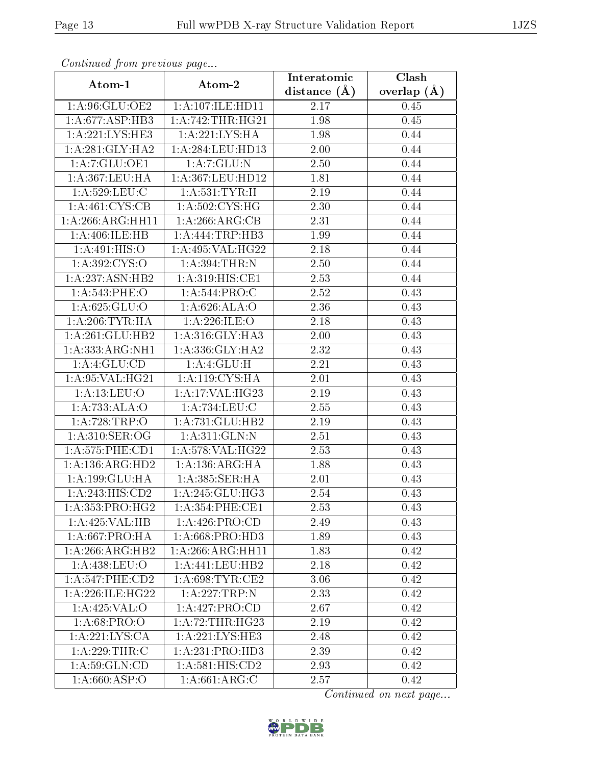| Commuca from previous page |                                | Clash<br>Interatomic     |               |  |  |
|----------------------------|--------------------------------|--------------------------|---------------|--|--|
| Atom-1                     | Atom-2                         |                          | overlap $(A)$ |  |  |
| 1:A:96:GLU:OE2             | 1:A:107:ILE:HD11               | distance $(\AA)$<br>2.17 | 0.45          |  |  |
| 1:A:677:ASP:HB3            | 1: A:742:THR:HG21              | 1.98                     | 0.45          |  |  |
| 1:A:221:LYS:HE3            | 1: A:221:LYS:HA                | 1.98                     | 0.44          |  |  |
| 1: A:281: GLY:HA2          | 1:A:284:LEU:HD13               | 2.00                     | 0.44          |  |  |
| 1: A: 7: GLU: OE1          | $1:A:7:\overline{GLU:N}$       | 2.50                     | 0.44          |  |  |
| 1:A:367:LEU:HA             | 1:A:367:LEU:HD12               | 1.81                     | 0.44          |  |  |
| 1:A:529:LEU:C              | 1: A:531:TYR:H                 | 2.19                     | 0.44          |  |  |
| 1: A: 461: CYS: CB         | 1:A:502:CYS:HG                 | 2.30                     | 0.44          |  |  |
| 1:A:266:ARG:HH11           | 1:A:266:ARG:CB                 | 2.31                     | 0.44          |  |  |
| 1:A:406:ILE:HB             | 1: A: 444: TRP: HB3            | 1.99                     | 0.44          |  |  |
| 1: A:491: HIS:O            | 1:A:495:VAL:HG22               | 2.18                     | 0.44          |  |  |
| 1: A: 392: CYS:O           | 1: A:394:THR:N                 | 2.50                     | 0.44          |  |  |
| 1:A:237:ASN:HB2            | $1:A:319:HI\overline{S:CE1}$   | 2.53                     | 0.44          |  |  |
| 1:A:543:PHE:O              | 1: A:544:PRO:C                 | 2.52                     | 0.43          |  |  |
| 1: A:625: GLU:O            | 1: A:626: ALA:O                | 2.36                     | 0.43          |  |  |
| 1: A:206:TYR:HA            | 1:A:226:ILE:O                  | 2.18                     | 0.43          |  |  |
| 1:A:261:GLU:HB2            | 1: A:316: GLY:HA3              | 2.00                     | 0.43          |  |  |
| 1:A:333:ARG:NH1            | 1: A:336: GLY:HA2              | 2.32                     | 0.43          |  |  |
| $1:\overline{A:4:GLU:CD}$  | 1: A:4: GLU:H                  | 2.21                     | 0.43          |  |  |
| 1:A:95:VAL:HG21            | 1: A:119: CYS:HA               | 2.01                     | 0.43          |  |  |
| 1: A: 13: LEU: O           | 1: A:17: VAL:HG23              | 2.19                     | 0.43          |  |  |
| 1:A:733:ALA:O              | 1:A:734:LEU:C                  | 2.55                     | 0.43          |  |  |
| 1:A:728:TRP:O              | 1:A:731:GLU:HB2                | 2.19                     | 0.43          |  |  |
| 1: A:310: SER:OG           | 1:A:311:GLN:N                  | 2.51                     | 0.43          |  |  |
| 1: A: 575: PHE: CD1        | 1:A:578:VAL:HG22               | 2.53                     | 0.43          |  |  |
| 1: A: 136: ARG: HD2        | 1:A:136:ARG:HA                 | 1.88                     | 0.43          |  |  |
| 1:A:199:GLU:HA             | 1: A: 385: SER: HA             | 2.01                     | 0.43          |  |  |
| 1:A:243:HIS:CD2            | 1:A:245:GLU:HG3                | 2.54                     | 0.43          |  |  |
| 1: A: 353: PRO:HG2         | 1: A:354: PHE:CE1              | 2.53                     | 0.43          |  |  |
| 1:A:425:VAL:H B            | 1: A:426: PRO:CD               | 2.49                     | 0.43          |  |  |
| 1: A:667:PRO:HA            | $1: A:668: \overline{PRO:HD3}$ | 1.89                     | 0.43          |  |  |
| 1:A:266:ARG:HB2            | 1: A:266:ARG:HH11              | 1.83                     | 0.42          |  |  |
| 1:A:438:LEU:O              | 1:A:441:LEU:HB2                | 2.18                     | 0.42          |  |  |
| 1: A:547:PHE:CD2           | 1: A:698:TYR:CE2               | 3.06                     | 0.42          |  |  |
| 1:A:226:ILE:HG22           | 1:A:227:TRP:N                  | 2.33                     | 0.42          |  |  |
| 1:A:425:VAL:O              | 1:A:427:PRO:CD                 | 2.67                     | 0.42          |  |  |
| 1: A:68: PRO:O             | 1: A:72:THR:HG23               | 2.19                     | 0.42          |  |  |
| 1:A:221:LYS:CA             | 1:A:221:LYS:HE3                | 2.48                     | 0.42          |  |  |
| 1:A:229:THR:C              | 1:A:231:PRO:HD3                | 2.39                     | 0.42          |  |  |
| 1: A:59: GLN:CD            | 1:A:581:HIS:CD2                | 2.93                     | 0.42          |  |  |
| 1:A:660:ASP:O              | $1:A:66\overline{1:ARG:C}$     | 2.57                     | 0.42          |  |  |

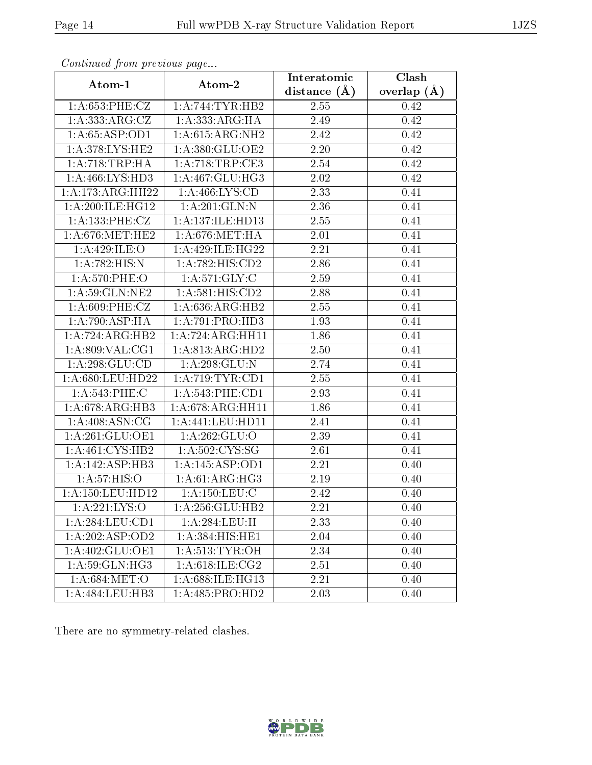| Communa from previous page |                            | Interatomic      | Clash         |
|----------------------------|----------------------------|------------------|---------------|
| Atom-1                     | Atom-2                     | distance $(\AA)$ | overlap $(A)$ |
| 1:A:653:PHE:CZ             | 1: A:744:TYR:HB2           | 2.55             | 0.42          |
| 1:A:333:ARG:CZ             | 1:A:333:ARG:HA             | 2.49             | 0.42          |
| 1:A:65:ASP:OD1             | 1: A:615: ARG: NH2         | 2.42             | 0.42          |
| 1: A:378: LYS: HE2         | 1: A:380: GLU:OE2          | 2.20             | 0.42          |
| 1: A:718:TRP:HA            | 1: A:718:TRP:CE3           | 2.54             | 0.42          |
| 1:A:466:LYS:HD3            | 1: A:467: GLU:HG3          | 2.02             | 0.42          |
| 1:A:173:ARG:HH22           | 1: A:466: LYS:CD           | 2.33             | 0.41          |
| 1: A:200:ILE:HG12          | 1:A:201:GLN:N              | 2.36             | 0.41          |
| 1:A:133:PHE:CZ             | 1:A:137:ILE:HD13           | 2.55             | 0.41          |
| 1: A:676:MET:HE2           | 1:A:676:MET:HA             | 2.01             | 0.41          |
| 1:A:429:ILE:O              | 1:A:429:ILE:HG22           | 2.21             | 0.41          |
| 1:A:782:HIS:N              | 1:A:782:HIS:CD2            | 2.86             | 0.41          |
| 1:A:570:PHE:O              | 1: A:571: GLY: C           | 2.59             | 0.41          |
| 1: A:59: GLN: NE2          | 1:A:581:HIS:CD2            | 2.88             | 0.41          |
| 1:A:609:PHE:CZ             | 1:A:636:ARG:HB2            | 2.55             | 0.41          |
| 1:A:790:ASP:HA             | 1:A:791:PRO:HD3            | 1.93             | 0.41          |
| 1:A:724:ARG:HB2            | 1:A:724:ARG:HH11           | 1.86             | 0.41          |
| 1: A:809: VAL:CG1          | 1:A:813:ARG:HD2            | 2.50             | 0.41          |
| 1: A:298: GLU:CD           | 1:A:298:GLU:N              | 2.74             | 0.41          |
| 1:A:680:LEU:HD22           | 1:A:719:TYR:CD1            | 2.55             | 0.41          |
| 1:A:543:PHE:C              | 1: A:543:PHE:CD1           | 2.93             | 0.41          |
| 1: A:678:ARG:HB3           | 1: A:678:ARG:HH11          | 1.86             | 0.41          |
| 1: A:408: ASN:CG           | 1:A:441:LEU:HD11           | 2.41             | 0.41          |
| 1: A:261: GLU:OE1          | 1:A:262:GLU:O              | 2.39             | 0.41          |
| 1: A:461: CYS:HB2          | 1:A:502:CYS:SG             | 2.61             | 0.41          |
| 1:A:142:ASP:HB3            | 1: A:145: ASP:OD1          | 2.21             | 0.40          |
| 1: A:57: HIS:O             | 1: A:61: ARG:HG3           | 2.19             | 0.40          |
| 1: A:150:LEU:HD12          | $1:A:150:LE\overline{U:C}$ | 2.42             | 0.40          |
| 1: A: 221: LYS:O           | 1:A:256:GLU:HB2            | 2.21             | 0.40          |
| 1: A:284:LEU:CD1           | 1: A:284:LEU:H             | 2.33             | 0.40          |
| 1:A:202:ASP:OD2            | 1:A:384:HIS:HE1            | 2.04             | 0.40          |
| 1:A:402:GLU:OE1            | 1: A:513: TYR: OH          | 2.34             | 0.40          |
| 1:A:59:GLN:HG3             | 1: A:618: ILE: CG2         | 2.51             | 0.40          |
| 1: A:684:MET:O             | 1:A:688:ILE:HG13           | 2.21             | 0.40          |
| 1:A:484:LEU:HB3            | 1:A:485:PRO:HD2            | 2.03             | 0.40          |

There are no symmetry-related clashes.

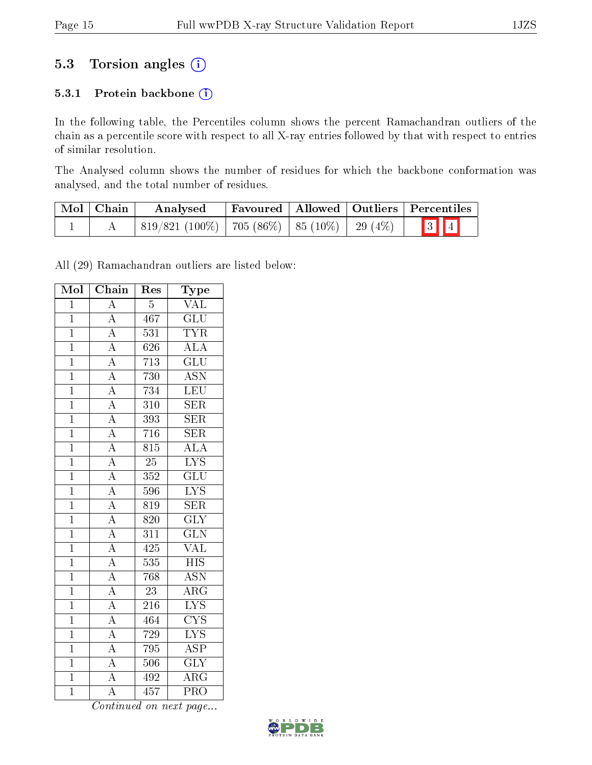# 5.3 Torsion angles (i)

#### 5.3.1 Protein backbone (i)

In the following table, the Percentiles column shows the percent Ramachandran outliers of the chain as a percentile score with respect to all X-ray entries followed by that with respect to entries of similar resolution.

The Analysed column shows the number of residues for which the backbone conformation was analysed, and the total number of residues.

| Mol   Chain | Analysed                                     |  | Favoured   Allowed   Outliers   Percentiles |
|-------------|----------------------------------------------|--|---------------------------------------------|
|             | $ 819/821(100\%) 705(86\%) 85(10\%) 29(4\%)$ |  | $\boxed{3}$ $\boxed{4}$                     |

All (29) Ramachandran outliers are listed below:

| Mol            | Chain                                                                   | Res              | Type                      |
|----------------|-------------------------------------------------------------------------|------------------|---------------------------|
| $\overline{1}$ | $\overline{A}$                                                          | $\overline{5}$   | $\overline{\text{VAL}}$   |
| $\mathbf{1}$   | $\overline{A}$                                                          | 467              | $\overline{\text{GLU}}$   |
| $\overline{1}$ | $\overline{A}$                                                          | 531              | $\overline{\text{TYR}}$   |
| $\overline{1}$ | $\overline{A}$                                                          | 626              | ALA                       |
| $\overline{1}$ |                                                                         | 713              | $\overline{\mathrm{GLU}}$ |
| $\overline{1}$ | $\frac{\overline{A}}{\overline{A}}$ $\frac{\overline{A}}{\overline{A}}$ | 730              | $\overline{\mathrm{ASN}}$ |
| $\overline{1}$ |                                                                         | 734              | $\overline{\text{LEU}}$   |
| $\overline{1}$ |                                                                         | $\overline{310}$ | SER                       |
| $\mathbf{1}$   |                                                                         | 393              | $\overline{\text{SER}}$   |
| $\mathbf{1}$   | $\overline{A}$                                                          | 716              | <b>SER</b>                |
| $\overline{1}$ | $\overline{A}$                                                          | $\overline{815}$ | $\overline{\rm ALA}$      |
| $\overline{1}$ | $\frac{\overline{A}}{\overline{A}}$ $\frac{\overline{A}}{\overline{A}}$ | $\overline{25}$  | $\overline{\text{LYS}}$   |
| $\overline{1}$ |                                                                         | $\overline{352}$ | $\overline{{\rm GLU}}$    |
| $\mathbf{1}$   |                                                                         | 596              | $\overline{\text{LYS}}$   |
| $\overline{1}$ |                                                                         | 819              | $\overline{\text{SER}}$   |
| $\overline{1}$ |                                                                         | 820              | $\overline{\text{GLY}}$   |
| $\mathbf{1}$   | $\overline{A}$                                                          | 311              | $\overline{\text{GLN}}$   |
| $\overline{1}$ | $\overline{A}$                                                          | 425              | $\overline{\text{VAL}}$   |
| $\overline{1}$ |                                                                         | 535              | $\overline{HIS}$          |
| $\overline{1}$ | $\frac{\overline{A}}{\overline{A}}$ $\frac{\overline{A}}{\overline{A}}$ | 768              | $\overline{\text{ASN}}$   |
| $\mathbf{1}$   |                                                                         | $23\,$           | $\overline{\text{ARG}}$   |
| $\mathbf{1}$   |                                                                         | $\overline{216}$ | $\overline{\text{LYS}}$   |
| $\overline{1}$ |                                                                         | 464              | $\overline{\text{CYS}}$   |
| $\mathbf{1}$   | $\overline{A}$                                                          | 729              | $\overline{\text{LYS}}$   |
| $\overline{1}$ | $\overline{A}$                                                          | $795\,$          | $\overline{\text{ASP}}$   |
| $\overline{1}$ | $\frac{\overline{A}}{\overline{A}}$                                     | 506              | $\overline{\text{GLY}}$   |
| $\overline{1}$ |                                                                         | 492              | $\overline{\rm{ARG}}$     |
| $\overline{1}$ | $\overline{A}$                                                          | 457              | $\overline{\mathrm{PRO}}$ |

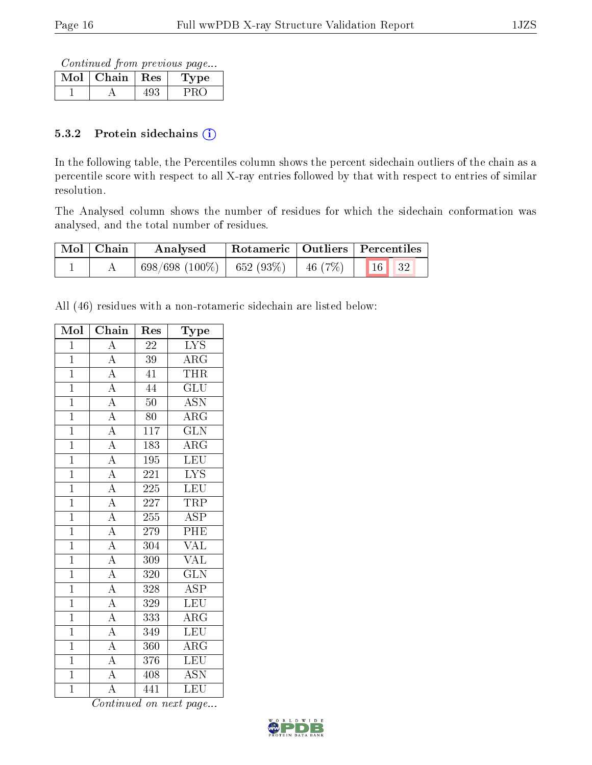Continued from previous page...

| Mol | Chain | $+$ Res $+$ | рe |
|-----|-------|-------------|----|
|     |       |             |    |

#### 5.3.2 Protein sidechains  $(i)$

In the following table, the Percentiles column shows the percent sidechain outliers of the chain as a percentile score with respect to all X-ray entries followed by that with respect to entries of similar resolution.

The Analysed column shows the number of residues for which the sidechain conformation was analysed, and the total number of residues.

| Mol   Chain | Analysed                    |                                      | Rotameric   Outliers   Percentiles |
|-------------|-----------------------------|--------------------------------------|------------------------------------|
|             | $698/698(100\%)$ 652 (93\%) | $\frac{1}{2}$ 46 (7\%) $\frac{1}{2}$ | $\vert$ 16 $\vert$ 32              |

All (46) residues with a non-rotameric sidechain are listed below:

| Mol            | Chain                   | $\operatorname{Res}% \left( \mathcal{N}\right) \equiv\operatorname{Res}(\mathcal{N}_{0})\cap\mathcal{N}_{1}$ | Type                    |
|----------------|-------------------------|--------------------------------------------------------------------------------------------------------------|-------------------------|
| $\overline{1}$ | $\overline{A}$          | $\overline{22}$                                                                                              | $\overline{\text{LYS}}$ |
| $\mathbf{1}$   | $\overline{A}$          | $39\,$                                                                                                       | $\rm{ARG}$              |
| $\overline{1}$ | $\overline{A}$          | $\overline{41}$                                                                                              | <b>THR</b>              |
| $\overline{1}$ | $\overline{A}$          | 44                                                                                                           | $\overline{\text{GLU}}$ |
| $\overline{1}$ | $\frac{1}{A}$           | 50                                                                                                           | $\overline{ASN}$        |
| $\overline{1}$ | $\overline{A}$          | 80                                                                                                           | $\overline{\rm{ARG}}$   |
| $\overline{1}$ | $\overline{A}$          | 117                                                                                                          | $\overline{\text{GLN}}$ |
| $\overline{1}$ | $\overline{A}$          | 183                                                                                                          | $\overline{\rm{ARG}}$   |
| $\overline{1}$ | $\overline{A}$          | $195\,$                                                                                                      | $\overline{\text{LEU}}$ |
| $\overline{1}$ | $\overline{A}$          | $\overline{221}$                                                                                             | $\overline{\text{LYS}}$ |
| $\overline{1}$ | $\overline{A}$          | 225                                                                                                          | LEU                     |
| $\overline{1}$ | $\overline{A}$          | 227                                                                                                          | TRP                     |
| $\overline{1}$ | $\overline{A}$          | 255                                                                                                          | $\overline{\text{ASP}}$ |
| $\overline{1}$ | $\frac{1}{\mathbf{A}}$  | $2\,79$                                                                                                      | $\overline{\rm PHE}$    |
| $\overline{1}$ | $\overline{A}$          | $\overline{304}$                                                                                             | $\overline{\text{VAL}}$ |
| $\overline{1}$ | $\overline{A}$          | 309                                                                                                          | <b>VAL</b>              |
| $\overline{1}$ | $\overline{A}$          | 320                                                                                                          | $\overline{\text{GLN}}$ |
| $\overline{1}$ | $\overline{A}$          | 328                                                                                                          | $\overline{\text{ASP}}$ |
| $\mathbf{1}$   | $\overline{A}$          | 329                                                                                                          | LEU                     |
| $\overline{1}$ | $\overline{A}$          | 333                                                                                                          | $\overline{\rm{ARG}}$   |
| $\bar{1}$      | $\overline{A}$          | 349                                                                                                          | <b>LEU</b>              |
| $\overline{1}$ | $\overline{A}$          | 360                                                                                                          | $\overline{\rm{ARG}}$   |
| $\overline{1}$ | $\overline{A}$          | 376                                                                                                          | <b>LEU</b>              |
| $\overline{1}$ | $\overline{A}$          | 408                                                                                                          | $\overline{\text{ASN}}$ |
| $\overline{1}$ | $\overline{\mathbf{A}}$ | 441                                                                                                          | LEU                     |

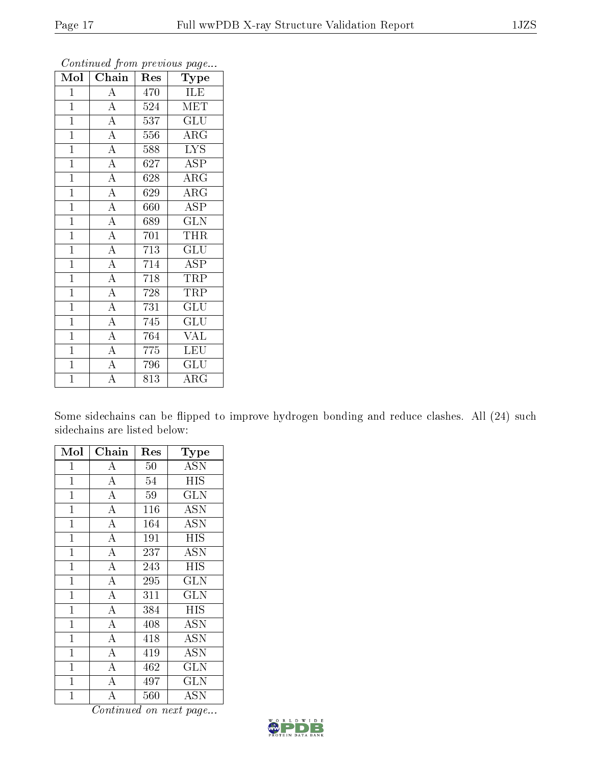| Mol            | $\overline{\text{Chain}}$ | Res | Type                      |
|----------------|---------------------------|-----|---------------------------|
| $\mathbf{1}$   | $\overline{A}$            | 470 | ILE                       |
| $\overline{1}$ | $\overline{A}$            | 524 | <b>MET</b>                |
| $\mathbf{1}$   | $\overline{A}$            | 537 | $\overline{\mathrm{GLU}}$ |
| $\mathbf{1}$   | $\overline{A}$            | 556 | ARG                       |
| $\overline{1}$ | $\overline{A}$            | 588 | $\overline{\text{LYS}}$   |
| $\mathbf{1}$   | $\overline{A}$            | 627 | ASP                       |
| $\overline{1}$ | $\overline{\rm A}$        | 628 | $\rm{ARG}$                |
| $\mathbf{1}$   | $\overline{A}$            | 629 | $\rm{ARG}$                |
| $\mathbf{1}$   | $\overline{A}$            | 660 | <b>ASP</b>                |
| $\overline{1}$ | $\overline{\rm A}$        | 689 | $\overline{\text{GLN}}$   |
| $\mathbf{1}$   | $\overline{A}$            | 701 | THR                       |
| $\overline{1}$ | $\overline{\rm A}$        | 713 | $\overline{{\rm GLU}}$    |
| $\mathbf{1}$   | $\overline{A}$            | 714 | ASP                       |
| $\mathbf{1}$   | $\overline{\rm A}$        | 718 | TRP                       |
| $\mathbf{1}$   | $\overline{\rm A}$        | 728 | TRP                       |
| $\mathbf{1}$   | $\overline{A}$            | 731 | GLU                       |
| $\mathbf{1}$   | $\overline{A}$            | 745 | $\overline{\mathrm{GLU}}$ |
| $\mathbf{1}$   | $\overline{A}$            | 764 | <b>VAL</b>                |
| $\mathbf{1}$   | $\overline{\rm A}$        | 775 | LEU                       |
| $\overline{1}$ | $\overline{\rm A}$        | 796 | $\overline{\text{GLU}}$   |
| $\overline{1}$ | $\overline{\rm A}$        | 813 | $\rm{ARG}$                |

Some sidechains can be flipped to improve hydrogen bonding and reduce clashes. All (24) such sidechains are listed below:

| Mol            | Chain              | Res    | Type                    |
|----------------|--------------------|--------|-------------------------|
| $\mathbf{1}$   | A                  | $50\,$ | <b>ASN</b>              |
| $\mathbf{1}$   | $\overline{\rm A}$ | 54     | <b>HIS</b>              |
| $\mathbf{1}$   | $\overline{A}$     | 59     | GLN                     |
| $\mathbf{1}$   | $\overline{\rm A}$ | 116    | <b>ASN</b>              |
| $\overline{1}$ | $\overline{\rm A}$ | 164    | <b>ASN</b>              |
| 1              | $\bf{A}$           | 191    | <b>HIS</b>              |
| $\mathbf{1}$   | $\bf{A}$           | 237    | <b>ASN</b>              |
| $\mathbf 1$    | $\overline{\rm A}$ | 243    | HIS                     |
| $\mathbf{1}$   | $\overline{\rm A}$ | 295    | <b>GLN</b>              |
| $\mathbf{1}$   | $\overline{\rm A}$ | 311    | <b>GLN</b>              |
| $\mathbf 1$    | $\bf{A}$           | 384    | <b>HIS</b>              |
| $\mathbf{1}$   | $\bf{A}$           | 408    | <b>ASN</b>              |
| $\mathbf{1}$   | $\overline{A}$     | 418    | <b>ASN</b>              |
| $\mathbf{1}$   | $\overline{A}$     | 419    | <b>ASN</b>              |
| $\overline{1}$ | $\overline{A}$     | 462    | $\overline{\text{GLN}}$ |
| $\mathbf 1$    | $\bf{A}$           | 497    | <b>GLN</b>              |
| $\overline{1}$ | А                  | 560    | ASN                     |

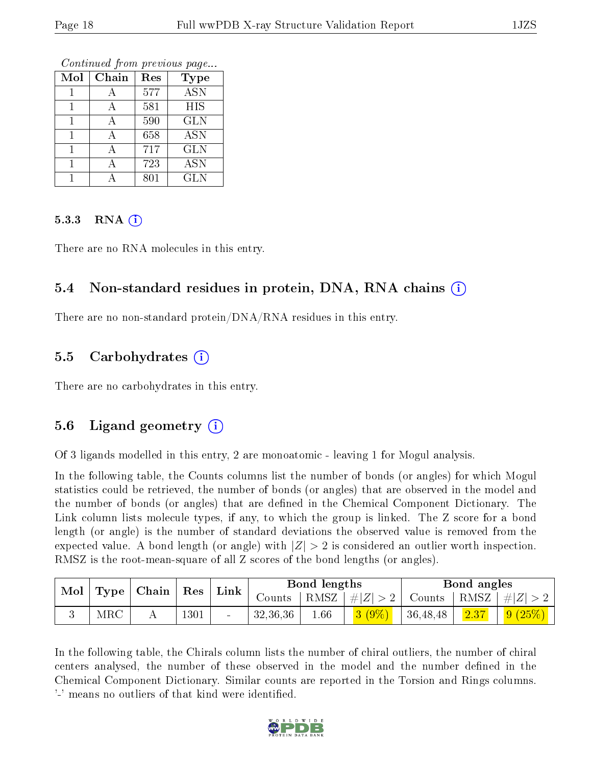Continued from previous page...

| Mol | Chain | Res | Type       |
|-----|-------|-----|------------|
|     |       | 577 | <b>ASN</b> |
|     | А     | 581 | <b>HIS</b> |
|     |       | 590 | <b>GLN</b> |
|     | А     | 658 | <b>ASN</b> |
|     | Ą     | 717 | <b>GLN</b> |
|     |       | 723 | <b>ASN</b> |
|     |       | 801 | <b>GLN</b> |

#### 5.3.3 RNA  $(i)$

There are no RNA molecules in this entry.

### 5.4 Non-standard residues in protein, DNA, RNA chains (i)

There are no non-standard protein/DNA/RNA residues in this entry.

#### 5.5 Carbohydrates (i)

There are no carbohydrates in this entry.

### 5.6 Ligand geometry  $(i)$

Of 3 ligands modelled in this entry, 2 are monoatomic - leaving 1 for Mogul analysis.

In the following table, the Counts columns list the number of bonds (or angles) for which Mogul statistics could be retrieved, the number of bonds (or angles) that are observed in the model and the number of bonds (or angles) that are dened in the Chemical Component Dictionary. The Link column lists molecule types, if any, to which the group is linked. The Z score for a bond length (or angle) is the number of standard deviations the observed value is removed from the expected value. A bond length (or angle) with  $|Z| > 2$  is considered an outlier worth inspection. RMSZ is the root-mean-square of all Z scores of the bond lengths (or angles).

| Mol |            | $\perp$ Type   Chain   Res |      | Link           |          | Bond lengths |            |          | Bond angles |            |
|-----|------------|----------------------------|------|----------------|----------|--------------|------------|----------|-------------|------------|
|     |            |                            |      |                | Jounts - | $RMSZ_1$     | $+ Z  > 2$ | Counts   | RMSZ        | $ #Z  > 2$ |
|     | <b>MRC</b> |                            | 1301 | $\blacksquare$ | 32,36,36 | $1.66\,$     | $3(9\%)$   | 36,48,48 | 2.37        | (9(25%)    |

In the following table, the Chirals column lists the number of chiral outliers, the number of chiral centers analysed, the number of these observed in the model and the number defined in the Chemical Component Dictionary. Similar counts are reported in the Torsion and Rings columns. '-' means no outliers of that kind were identified.

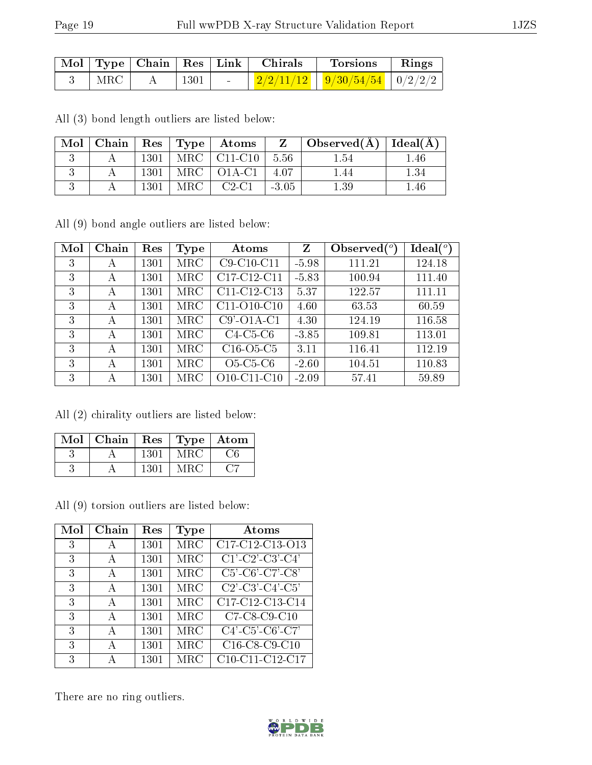|                            |      |                          | Mol   Type   Chain   Res   Link   Chirals | Torsions   Rings                                                         |  |
|----------------------------|------|--------------------------|-------------------------------------------|--------------------------------------------------------------------------|--|
| $^{\prime}$ MRC $_{\odot}$ | 1301 | <b>Contract Contract</b> |                                           | $\vert \vert$ 2/2/11/12 $\vert \vert$ 9/30/54/54 $\vert$ 0/2/2/2 $\vert$ |  |

All (3) bond length outliers are listed below:

| Mol |      |       | $\mid$ Chain $\mid$ Res $\mid$ Type $\mid$ Atoms | $Z_{-}$ | $\mid$ Observed( $\rm \AA$ ) $\mid$ Ideal( $\rm \AA$ ) $\mid$ |      |
|-----|------|-------|--------------------------------------------------|---------|---------------------------------------------------------------|------|
|     | 1301 |       | $MRC$   $C11-C10$                                | 5.56    | 1.54                                                          | .46  |
|     | 1301 |       | $MRC$   $O1A-C1$                                 | 4.07    | .44                                                           | - 34 |
|     | 1301 | MRC - | $C2-C1$                                          | $-3.05$ | $1.39\,$                                                      | .46  |

All (9) bond angle outliers are listed below:

| Mol | Chain | Res  | Type       | Atoms          | Z       | Observed $(°)$ | Ideal(°) |
|-----|-------|------|------------|----------------|---------|----------------|----------|
| 3   | А     | 1301 | $\rm{MRC}$ | C9-C10-C11     | $-5.98$ | 111.21         | 124.18   |
| 3   | А     | 1301 | MRC        | C17-C12-C11    | $-5.83$ | 100.94         | 111.40   |
| 3   | А     | 1301 | $\rm{MRC}$ | C11-C12-C13    | 5.37    | 122.57         | 111.11   |
| 3   | А     | 1301 | MRC        | $C11-O10-C10$  | 4.60    | 63.53          | 60.59    |
| 3   | А     | 1301 | $\rm{MRC}$ | $C9'$ -O1A-C1  | 4.30    | 124.19         | 116.58   |
| 3   | А     | 1301 | $\rm{MRC}$ | $C4-C5-C6$     | $-3.85$ | 109.81         | 113.01   |
| 3   | А     | 1301 | MRC        | $C16-O5-C5$    | 3.11    | 116.41         | 112.19   |
| 3   | А     | 1301 | $\rm{MRC}$ | $O5-C5-C6$     | $-2.60$ | 104.51         | 110.83   |
| 3   | А     | 1301 | MRC        | $O10$ -C11-C10 | $-2.09$ | 57.41          | 59.89    |

All (2) chirality outliers are listed below:

| $\overline{\text{Mol}}$ | Chain | Res  | Type | Atom |
|-------------------------|-------|------|------|------|
|                         |       | 1301 | MRC  | 76   |
|                         |       | 1301 | MRC  |      |

All (9) torsion outliers are listed below:

| Mol | Chain        | Res  | Type | Atoms                                                            |
|-----|--------------|------|------|------------------------------------------------------------------|
| 3   | А            | 1301 | MRC  | C17-C12-C13-O13                                                  |
| 3   | A            | 1301 | MRC  | $\overline{C1'\text{-}C2'\text{-}C3'\text{-}C4'}$                |
| 3   | A            | 1301 | MRC  | $C5'$ - $C6'$ - $C7'$ - $C8'$                                    |
| 3   | А            | 1301 | MRC  | $\overline{C2'}$ -C3'-C4'-C5'                                    |
| 3   | A            | 1301 | MRC  | C17-C12-C13-C14                                                  |
| 3   | $\mathbf{A}$ | 1301 | MRC  | $C7-C8-C9-C10$                                                   |
| 3   | А            | 1301 | MRC  | $C4'$ -C5'-C6'-C7'                                               |
| 3   | А            | 1301 | MRC  | C <sub>16</sub> -C <sub>8</sub> -C <sub>9</sub> -C <sub>10</sub> |
| 3   | А            | 1301 | MRC  | C10-C11-C12-C17                                                  |

There are no ring outliers.

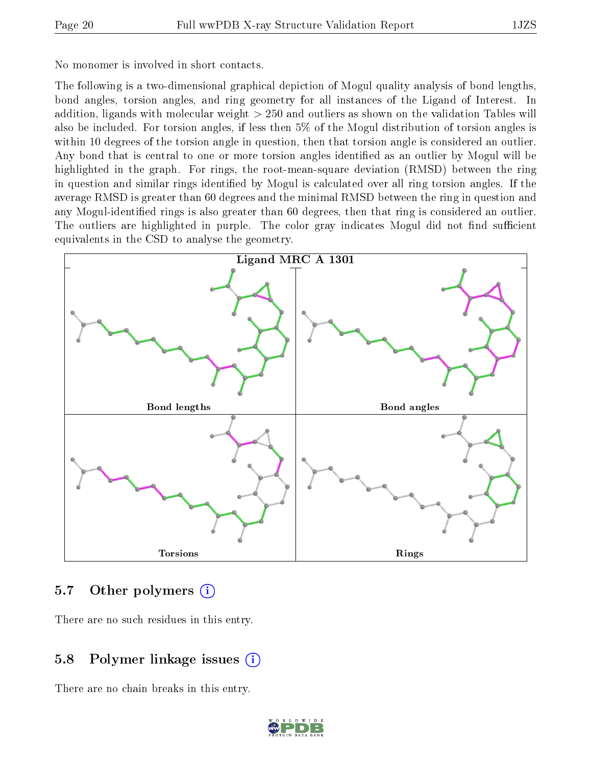No monomer is involved in short contacts.

The following is a two-dimensional graphical depiction of Mogul quality analysis of bond lengths, bond angles, torsion angles, and ring geometry for all instances of the Ligand of Interest. In addition, ligands with molecular weight > 250 and outliers as shown on the validation Tables will also be included. For torsion angles, if less then 5% of the Mogul distribution of torsion angles is within 10 degrees of the torsion angle in question, then that torsion angle is considered an outlier. Any bond that is central to one or more torsion angles identified as an outlier by Mogul will be highlighted in the graph. For rings, the root-mean-square deviation (RMSD) between the ring in question and similar rings identified by Mogul is calculated over all ring torsion angles. If the average RMSD is greater than 60 degrees and the minimal RMSD between the ring in question and any Mogul-identified rings is also greater than 60 degrees, then that ring is considered an outlier. The outliers are highlighted in purple. The color gray indicates Mogul did not find sufficient equivalents in the CSD to analyse the geometry.



### 5.7 [O](https://www.wwpdb.org/validation/2017/XrayValidationReportHelp#nonstandard_residues_and_ligands)ther polymers  $(i)$

There are no such residues in this entry.

### 5.8 Polymer linkage issues  $(i)$

There are no chain breaks in this entry.